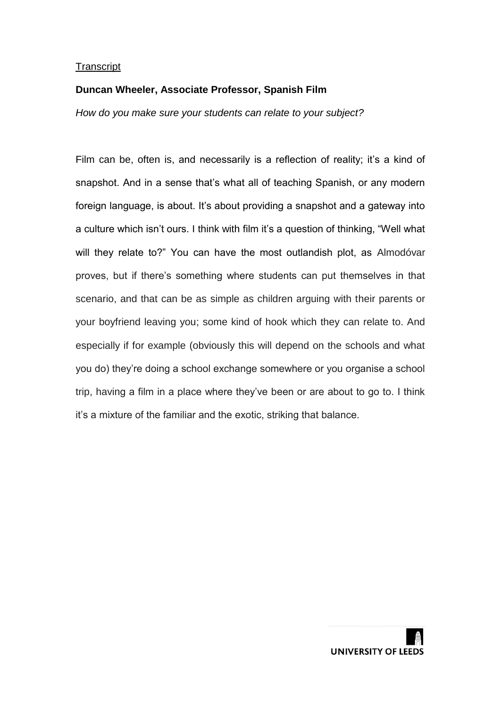# **Duncan Wheeler, Associate Professor, Spanish Film**

*How do you make sure your students can relate to your subject?*

Film can be, often is, and necessarily is a reflection of reality; it's a kind of snapshot. And in a sense that's what all of teaching Spanish, or any modern foreign language, is about. It's about providing a snapshot and a gateway into a culture which isn't ours. I think with film it's a question of thinking, "Well what will they relate to?" You can have the most outlandish plot, as Almodóvar proves, but if there's something where students can put themselves in that scenario, and that can be as simple as children arguing with their parents or your boyfriend leaving you; some kind of hook which they can relate to. And especially if for example (obviously this will depend on the schools and what you do) they're doing a school exchange somewhere or you organise a school trip, having a film in a place where they've been or are about to go to. I think it's a mixture of the familiar and the exotic, striking that balance.

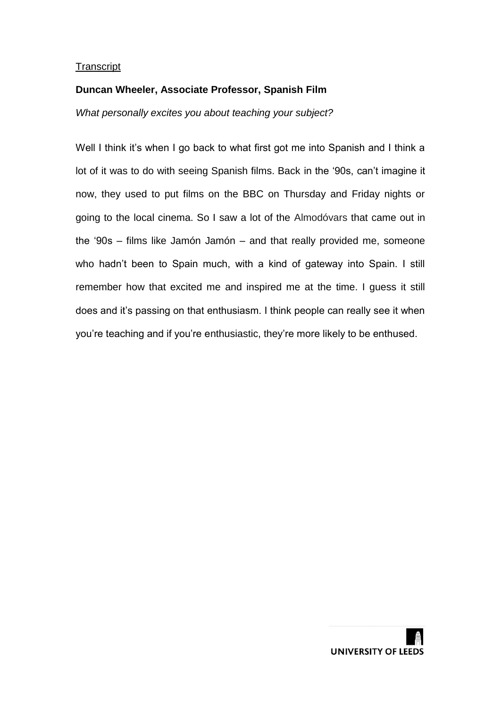# **Duncan Wheeler, Associate Professor, Spanish Film**

*What personally excites you about teaching your subject?*

Well I think it's when I go back to what first got me into Spanish and I think a lot of it was to do with seeing Spanish films. Back in the '90s, can't imagine it now, they used to put films on the BBC on Thursday and Friday nights or going to the local cinema. So I saw a lot of the Almodóvars that came out in the '90s – films like Jamón Jamón – and that really provided me, someone who hadn't been to Spain much, with a kind of gateway into Spain. I still remember how that excited me and inspired me at the time. I guess it still does and it's passing on that enthusiasm. I think people can really see it when you're teaching and if you're enthusiastic, they're more likely to be enthused.

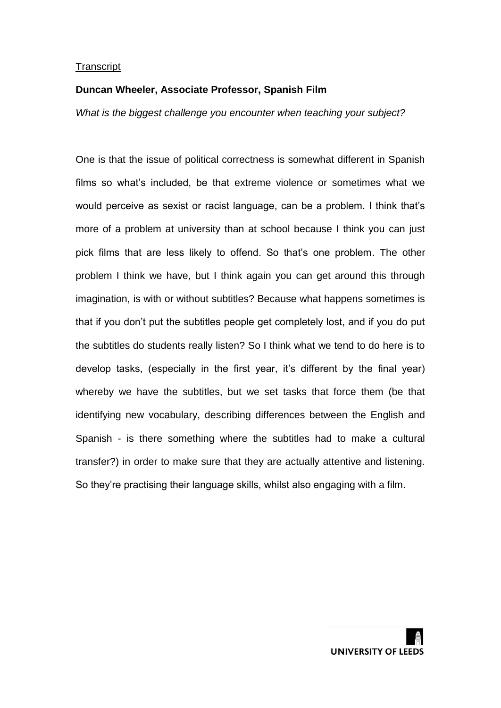#### **Duncan Wheeler, Associate Professor, Spanish Film**

*What is the biggest challenge you encounter when teaching your subject?*

One is that the issue of political correctness is somewhat different in Spanish films so what's included, be that extreme violence or sometimes what we would perceive as sexist or racist language, can be a problem. I think that's more of a problem at university than at school because I think you can just pick films that are less likely to offend. So that's one problem. The other problem I think we have, but I think again you can get around this through imagination, is with or without subtitles? Because what happens sometimes is that if you don't put the subtitles people get completely lost, and if you do put the subtitles do students really listen? So I think what we tend to do here is to develop tasks, (especially in the first year, it's different by the final year) whereby we have the subtitles, but we set tasks that force them (be that identifying new vocabulary, describing differences between the English and Spanish - is there something where the subtitles had to make a cultural transfer?) in order to make sure that they are actually attentive and listening. So they're practising their language skills, whilst also engaging with a film.

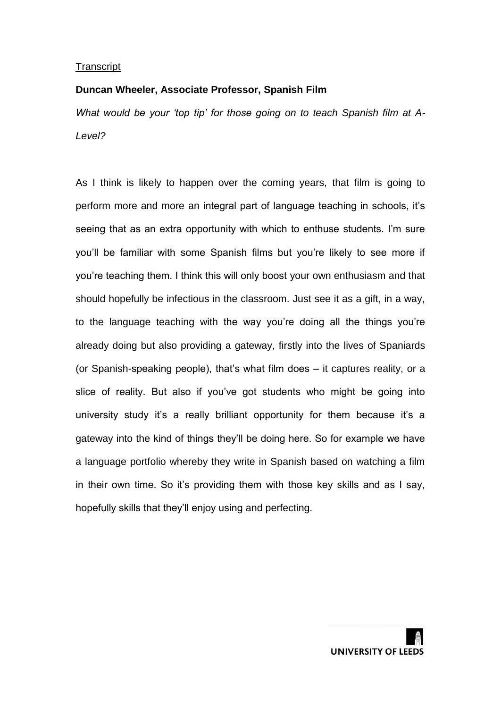#### **Duncan Wheeler, Associate Professor, Spanish Film**

*What would be your 'top tip' for those going on to teach Spanish film at A-Level?*

As I think is likely to happen over the coming years, that film is going to perform more and more an integral part of language teaching in schools, it's seeing that as an extra opportunity with which to enthuse students. I'm sure you'll be familiar with some Spanish films but you're likely to see more if you're teaching them. I think this will only boost your own enthusiasm and that should hopefully be infectious in the classroom. Just see it as a gift, in a way, to the language teaching with the way you're doing all the things you're already doing but also providing a gateway, firstly into the lives of Spaniards (or Spanish-speaking people), that's what film does – it captures reality, or a slice of reality. But also if you've got students who might be going into university study it's a really brilliant opportunity for them because it's a gateway into the kind of things they'll be doing here. So for example we have a language portfolio whereby they write in Spanish based on watching a film in their own time. So it's providing them with those key skills and as I say, hopefully skills that they'll enjoy using and perfecting.

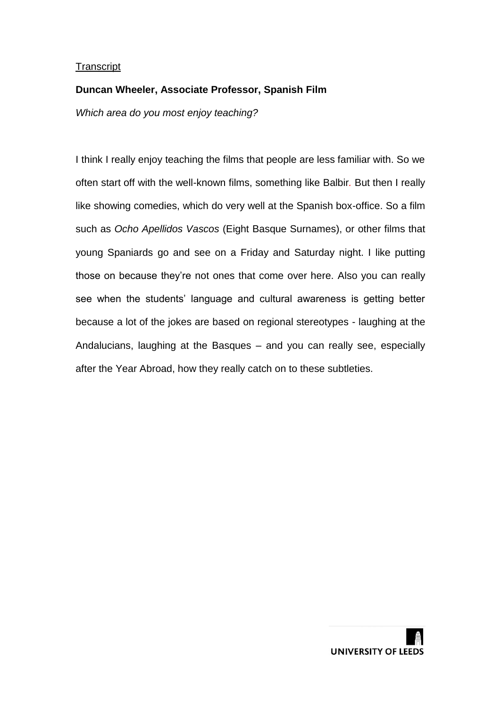# **Duncan Wheeler, Associate Professor, Spanish Film**

*Which area do you most enjoy teaching?*

I think I really enjoy teaching the films that people are less familiar with. So we often start off with the well-known films, something like Balbir*.* But then I really like showing comedies, which do very well at the Spanish box-office. So a film such as *Ocho Apellidos Vascos* (Eight Basque Surnames), or other films that young Spaniards go and see on a Friday and Saturday night. I like putting those on because they're not ones that come over here. Also you can really see when the students' language and cultural awareness is getting better because a lot of the jokes are based on regional stereotypes - laughing at the Andalucians, laughing at the Basques – and you can really see, especially after the Year Abroad, how they really catch on to these subtleties.